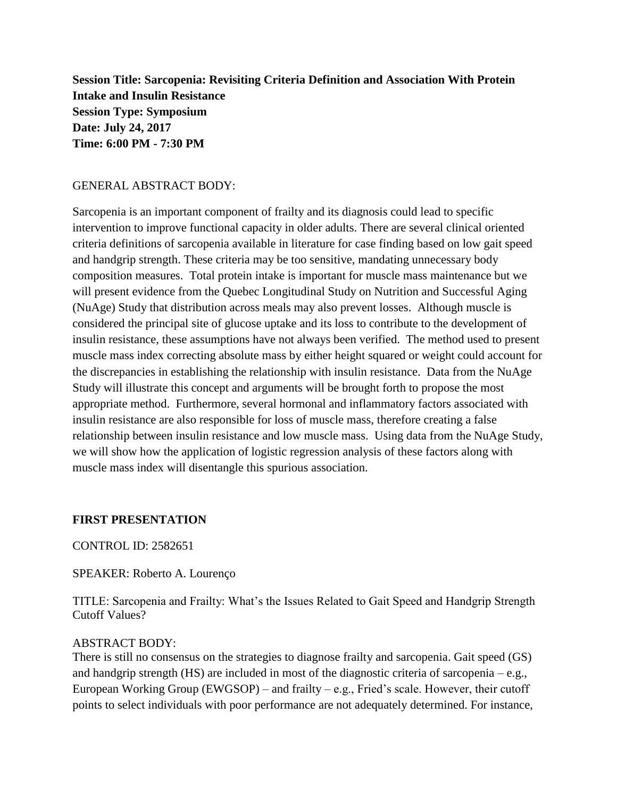**Session Title: Sarcopenia: Revisiting Criteria Definition and Association With Protein Intake and Insulin Resistance Session Type: Symposium Date: July 24, 2017 Time: 6:00 PM - 7:30 PM** 

### GENERAL ABSTRACT BODY:

Sarcopenia is an important component of frailty and its diagnosis could lead to specific intervention to improve functional capacity in older adults. There are several clinical oriented criteria definitions of sarcopenia available in literature for case finding based on low gait speed and handgrip strength. These criteria may be too sensitive, mandating unnecessary body composition measures. Total protein intake is important for muscle mass maintenance but we will present evidence from the Quebec Longitudinal Study on Nutrition and Successful Aging (NuAge) Study that distribution across meals may also prevent losses. Although muscle is considered the principal site of glucose uptake and its loss to contribute to the development of insulin resistance, these assumptions have not always been verified. The method used to present muscle mass index correcting absolute mass by either height squared or weight could account for the discrepancies in establishing the relationship with insulin resistance. Data from the NuAge Study will illustrate this concept and arguments will be brought forth to propose the most appropriate method. Furthermore, several hormonal and inflammatory factors associated with insulin resistance are also responsible for loss of muscle mass, therefore creating a false relationship between insulin resistance and low muscle mass. Using data from the NuAge Study, we will show how the application of logistic regression analysis of these factors along with muscle mass index will disentangle this spurious association.

### **FIRST PRESENTATION**

CONTROL ID: 2582651

SPEAKER: Roberto A. Lourenço

TITLE: Sarcopenia and Frailty: What's the Issues Related to Gait Speed and Handgrip Strength Cutoff Values?

# ABSTRACT BODY:

There is still no consensus on the strategies to diagnose frailty and sarcopenia. Gait speed (GS) and handgrip strength (HS) are included in most of the diagnostic criteria of sarcopenia – e.g., European Working Group (EWGSOP) – and frailty – e.g., Fried's scale. However, their cutoff points to select individuals with poor performance are not adequately determined. For instance,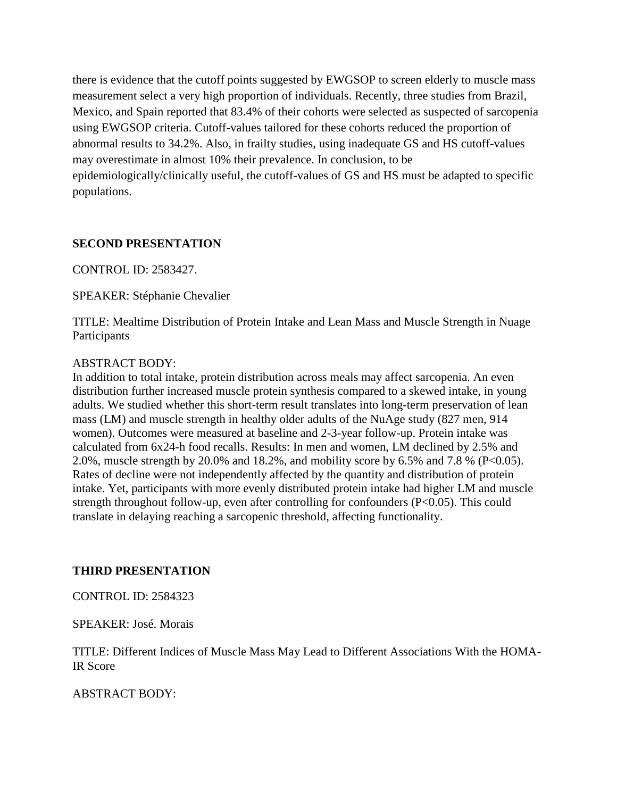there is evidence that the cutoff points suggested by EWGSOP to screen elderly to muscle mass measurement select a very high proportion of individuals. Recently, three studies from Brazil, Mexico, and Spain reported that 83.4% of their cohorts were selected as suspected of sarcopenia using EWGSOP criteria. Cutoff-values tailored for these cohorts reduced the proportion of abnormal results to 34.2%. Also, in frailty studies, using inadequate GS and HS cutoff-values may overestimate in almost 10% their prevalence. In conclusion, to be epidemiologically/clinically useful, the cutoff-values of GS and HS must be adapted to specific populations.

### **SECOND PRESENTATION**

CONTROL ID: 2583427.

SPEAKER: Stéphanie Chevalier

TITLE: Mealtime Distribution of Protein Intake and Lean Mass and Muscle Strength in Nuage Participants

### ABSTRACT BODY:

In addition to total intake, protein distribution across meals may affect sarcopenia. An even distribution further increased muscle protein synthesis compared to a skewed intake, in young adults. We studied whether this short-term result translates into long-term preservation of lean mass (LM) and muscle strength in healthy older adults of the NuAge study (827 men, 914 women). Outcomes were measured at baseline and 2-3-year follow-up. Protein intake was calculated from 6x24-h food recalls. Results: In men and women, LM declined by 2.5% and 2.0%, muscle strength by 20.0% and 18.2%, and mobility score by 6.5% and 7.8 % (P<0.05). Rates of decline were not independently affected by the quantity and distribution of protein intake. Yet, participants with more evenly distributed protein intake had higher LM and muscle strength throughout follow-up, even after controlling for confounders (P<0.05). This could translate in delaying reaching a sarcopenic threshold, affecting functionality.

# **THIRD PRESENTATION**

### CONTROL ID: 2584323

### SPEAKER: José. Morais

TITLE: Different Indices of Muscle Mass May Lead to Different Associations With the HOMA-IR Score

# ABSTRACT BODY: